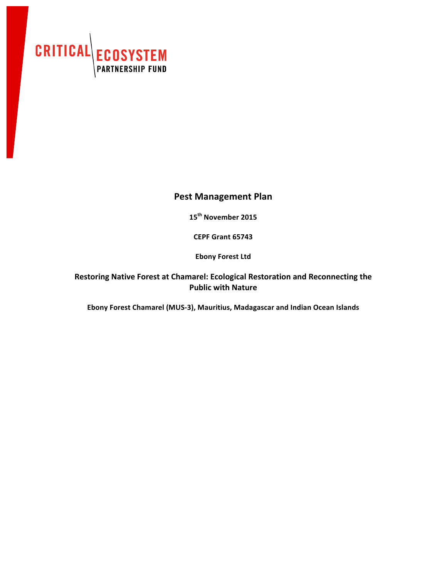

## **Pest Management Plan**

**15th November 2015**

**CEPF Grant 65743**

**Ebony Forest Ltd** 

Restoring Native Forest at Chamarel: Ecological Restoration and Reconnecting the **Public with Nature**

Ebony Forest Chamarel (MUS-3), Mauritius, Madagascar and Indian Ocean Islands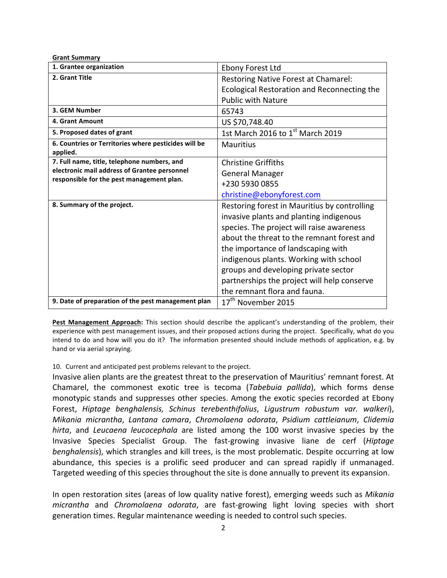| <b>Grant Summary</b>                                             |                                                                                                                                                                                                                                                                                                                                                                                           |
|------------------------------------------------------------------|-------------------------------------------------------------------------------------------------------------------------------------------------------------------------------------------------------------------------------------------------------------------------------------------------------------------------------------------------------------------------------------------|
| 1. Grantee organization                                          | Ebony Forest Ltd                                                                                                                                                                                                                                                                                                                                                                          |
| 2. Grant Title                                                   | Restoring Native Forest at Chamarel:                                                                                                                                                                                                                                                                                                                                                      |
|                                                                  | Ecological Restoration and Reconnecting the                                                                                                                                                                                                                                                                                                                                               |
|                                                                  | <b>Public with Nature</b>                                                                                                                                                                                                                                                                                                                                                                 |
| 3. GEM Number                                                    | 65743                                                                                                                                                                                                                                                                                                                                                                                     |
| 4. Grant Amount                                                  | US \$70,748.40                                                                                                                                                                                                                                                                                                                                                                            |
| 5. Proposed dates of grant                                       | 1st March 2016 to 1st March 2019                                                                                                                                                                                                                                                                                                                                                          |
| 6. Countries or Territories where pesticides will be<br>applied. | <b>Mauritius</b>                                                                                                                                                                                                                                                                                                                                                                          |
| 7. Full name, title, telephone numbers, and                      | <b>Christine Griffiths</b>                                                                                                                                                                                                                                                                                                                                                                |
| electronic mail address of Grantee personnel                     | <b>General Manager</b>                                                                                                                                                                                                                                                                                                                                                                    |
| responsible for the pest management plan.                        | +230 5930 0855                                                                                                                                                                                                                                                                                                                                                                            |
|                                                                  | christine@ebonyforest.com                                                                                                                                                                                                                                                                                                                                                                 |
| 8. Summary of the project.                                       | Restoring forest in Mauritius by controlling<br>invasive plants and planting indigenous<br>species. The project will raise awareness<br>about the threat to the remnant forest and<br>the importance of landscaping with<br>indigenous plants. Working with school<br>groups and developing private sector<br>partnerships the project will help conserve<br>the remnant flora and fauna. |
| 9. Date of preparation of the pest management plan               | 17 <sup>th</sup> November 2015                                                                                                                                                                                                                                                                                                                                                            |

Pest Management Approach: This section should describe the applicant's understanding of the problem, their experience with pest management issues, and their proposed actions during the project. Specifically, what do you intend to do and how will you do it? The information presented should include methods of application, e.g. by hand or via aerial spraying.

## 10. Current and anticipated pest problems relevant to the project.

Invasive alien plants are the greatest threat to the preservation of Mauritius' remnant forest. At Chamarel, the commonest exotic tree is tecoma (*Tabebuia pallida*), which forms dense monotypic stands and suppresses other species. Among the exotic species recorded at Ebony Forest, *Hiptage benghalensis, Schinus terebenthifolius*, Ligustrum robustum var. walkeri), *Mikania micrantha*, *Lantana camara*, *Chromolaena odorata*, *Psidium cattleianum*, *Clidemia hirta*, and *Leucaena leucocephala* are listed among the 100 worst invasive species by the Invasive Species Specialist Group. The fast-growing invasive liane de cerf (*Hiptage benghalensis*), which strangles and kill trees, is the most problematic. Despite occurring at low abundance, this species is a prolific seed producer and can spread rapidly if unmanaged. Targeted weeding of this species throughout the site is done annually to prevent its expansion.

In open restoration sites (areas of low quality native forest), emerging weeds such as *Mikania micrantha* and *Chromolaena odorata*, are fast-growing light loving species with short generation times. Regular maintenance weeding is needed to control such species.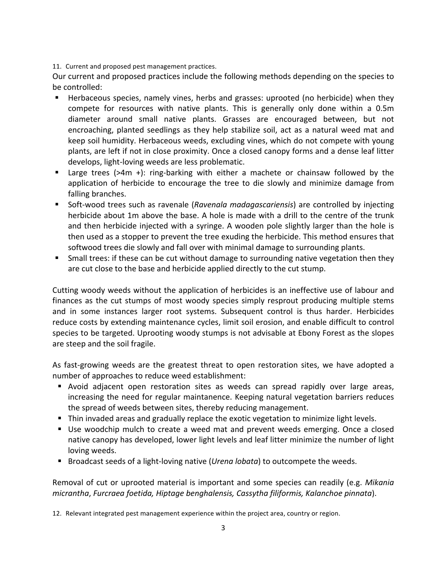11. Current and proposed pest management practices.

Our current and proposed practices include the following methods depending on the species to be controlled:

- Herbaceous species, namely vines, herbs and grasses: uprooted (no herbicide) when they compete for resources with native plants. This is generally only done within a 0.5m diameter around small native plants. Grasses are encouraged between, but not encroaching, planted seedlings as they help stabilize soil, act as a natural weed mat and keep soil humidity. Herbaceous weeds, excluding vines, which do not compete with young plants, are left if not in close proximity. Once a closed canopy forms and a dense leaf litter develops, light-loving weeds are less problematic.
- Large trees (>4m +): ring-barking with either a machete or chainsaw followed by the application of herbicide to encourage the tree to die slowly and minimize damage from falling branches.
- Soft-wood trees such as ravenale (*Ravenala madagascariensis*) are controlled by injecting herbicide about 1m above the base. A hole is made with a drill to the centre of the trunk and then herbicide injected with a syringe. A wooden pole slightly larger than the hole is then used as a stopper to prevent the tree exuding the herbicide. This method ensures that softwood trees die slowly and fall over with minimal damage to surrounding plants.
- $\blacksquare$  Small trees: if these can be cut without damage to surrounding native vegetation then they are cut close to the base and herbicide applied directly to the cut stump.

Cutting woody weeds without the application of herbicides is an ineffective use of labour and finances as the cut stumps of most woody species simply resprout producing multiple stems and in some instances larger root systems. Subsequent control is thus harder. Herbicides reduce costs by extending maintenance cycles, limit soil erosion, and enable difficult to control species to be targeted. Uprooting woody stumps is not advisable at Ebony Forest as the slopes are steep and the soil fragile.

As fast-growing weeds are the greatest threat to open restoration sites, we have adopted a number of approaches to reduce weed establishment:

- Avoid adjacent open restoration sites as weeds can spread rapidly over large areas, increasing the need for regular maintanence. Keeping natural vegetation barriers reduces the spread of weeds between sites, thereby reducing management.
- **•** Thin invaded areas and gradually replace the exotic vegetation to minimize light levels.
- Use woodchip mulch to create a weed mat and prevent weeds emerging. Once a closed native canopy has developed, lower light levels and leaf litter minimize the number of light loving weeds.
- Broadcast seeds of a light-loving native (*Urena lobata*) to outcompete the weeds.

Removal of cut or uprooted material is important and some species can readily (e.g. *Mikania micrantha*, *Furcraea foetida, Hiptage benghalensis, Cassytha filiformis, Kalanchoe pinnata*).

12. Relevant integrated pest management experience within the project area, country or region.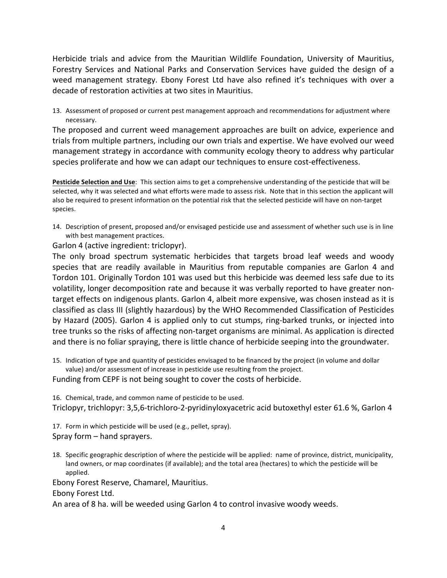Herbicide trials and advice from the Mauritian Wildlife Foundation, University of Mauritius, Forestry Services and National Parks and Conservation Services have guided the design of a weed management strategy. Ebony Forest Ltd have also refined it's techniques with over a decade of restoration activities at two sites in Mauritius.

13. Assessment of proposed or current pest management approach and recommendations for adjustment where necessary.

The proposed and current weed management approaches are built on advice, experience and trials from multiple partners, including our own trials and expertise. We have evolved our weed management strategy in accordance with community ecology theory to address why particular species proliferate and how we can adapt our techniques to ensure cost-effectiveness.

**Pesticide Selection and Use**: This section aims to get a comprehensive understanding of the pesticide that will be selected, why it was selected and what efforts were made to assess risk. Note that in this section the applicant will also be required to present information on the potential risk that the selected pesticide will have on non-target species.

14. Description of present, proposed and/or envisaged pesticide use and assessment of whether such use is in line with best management practices.

Garlon 4 (active ingredient: triclopyr).

The only broad spectrum systematic herbicides that targets broad leaf weeds and woody species that are readily available in Mauritius from reputable companies are Garlon 4 and Tordon 101. Originally Tordon 101 was used but this herbicide was deemed less safe due to its volatility, longer decomposition rate and because it was verbally reported to have greater nontarget effects on indigenous plants. Garlon 4, albeit more expensive, was chosen instead as it is classified as class III (slightly hazardous) by the WHO Recommended Classification of Pesticides by Hazard (2005). Garlon 4 is applied only to cut stumps, ring-barked trunks, or injected into tree trunks so the risks of affecting non-target organisms are minimal. As application is directed and there is no foliar spraying, there is little chance of herbicide seeping into the groundwater.

15. Indication of type and quantity of pesticides envisaged to be financed by the project (in volume and dollar value) and/or assessment of increase in pesticide use resulting from the project.

Funding from CEPF is not being sought to cover the costs of herbicide.

16. Chemical, trade, and common name of pesticide to be used. Triclopyr, trichlopyr: 3,5,6-trichloro-2-pyridinyloxyacetric acid butoxethyl ester 61.6 %, Garlon 4

17. Form in which pesticide will be used (e.g., pellet, spray). Spray form  $-$  hand sprayers.

18. Specific geographic description of where the pesticide will be applied: name of province, district, municipality, land owners, or map coordinates (if available); and the total area (hectares) to which the pesticide will be applied.

Ebony Forest Reserve, Chamarel, Mauritius.

Ebony Forest Ltd.

An area of 8 ha. will be weeded using Garlon 4 to control invasive woody weeds.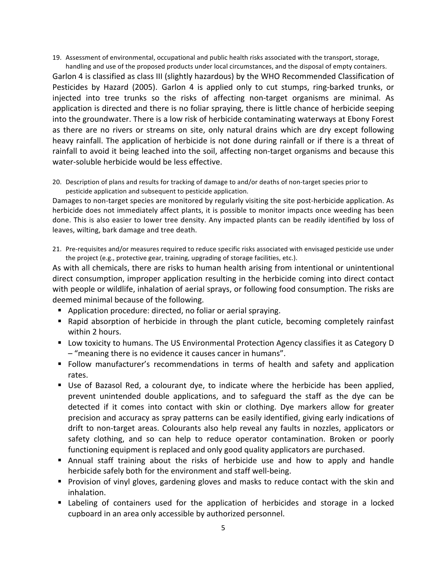19. Assessment of environmental, occupational and public health risks associated with the transport, storage, handling and use of the proposed products under local circumstances, and the disposal of empty containers.

Garlon 4 is classified as class III (slightly hazardous) by the WHO Recommended Classification of Pesticides by Hazard (2005). Garlon 4 is applied only to cut stumps, ring-barked trunks, or injected into tree trunks so the risks of affecting non-target organisms are minimal. As application is directed and there is no foliar spraying, there is little chance of herbicide seeping into the groundwater. There is a low risk of herbicide contaminating waterways at Ebony Forest as there are no rivers or streams on site, only natural drains which are dry except following heavy rainfall. The application of herbicide is not done during rainfall or if there is a threat of rainfall to avoid it being leached into the soil, affecting non-target organisms and because this water-soluble herbicide would be less effective.

20. Description of plans and results for tracking of damage to and/or deaths of non-target species prior to pesticide application and subsequent to pesticide application.

Damages to non-target species are monitored by regularly visiting the site post-herbicide application. As herbicide does not immediately affect plants, it is possible to monitor impacts once weeding has been done. This is also easier to lower tree density. Any impacted plants can be readily identified by loss of leaves, wilting, bark damage and tree death.

21. Pre-requisites and/or measures required to reduce specific risks associated with envisaged pesticide use under the project (e.g., protective gear, training, upgrading of storage facilities, etc.).

As with all chemicals, there are risks to human health arising from intentional or unintentional direct consumption, improper application resulting in the herbicide coming into direct contact with people or wildlife, inhalation of aerial sprays, or following food consumption. The risks are deemed minimal because of the following.

- Application procedure: directed, no foliar or aerial spraying.
- Rapid absorption of herbicide in through the plant cuticle, becoming completely rainfast within 2 hours.
- Low toxicity to humans. The US Environmental Protection Agency classifies it as Category D – "meaning there is no evidence it causes cancer in humans".
- Follow manufacturer's recommendations in terms of health and safety and application rates.
- Use of Bazasol Red, a colourant dye, to indicate where the herbicide has been applied, prevent unintended double applications, and to safeguard the staff as the dye can be detected if it comes into contact with skin or clothing. Dye markers allow for greater precision and accuracy as spray patterns can be easily identified, giving early indications of drift to non-target areas. Colourants also help reveal any faults in nozzles, applicators or safety clothing, and so can help to reduce operator contamination. Broken or poorly functioning equipment is replaced and only good quality applicators are purchased.
- Annual staff training about the risks of herbicide use and how to apply and handle herbicide safely both for the environment and staff well-being.
- Provision of vinyl gloves, gardening gloves and masks to reduce contact with the skin and inhalation.
- Labeling of containers used for the application of herbicides and storage in a locked cupboard in an area only accessible by authorized personnel.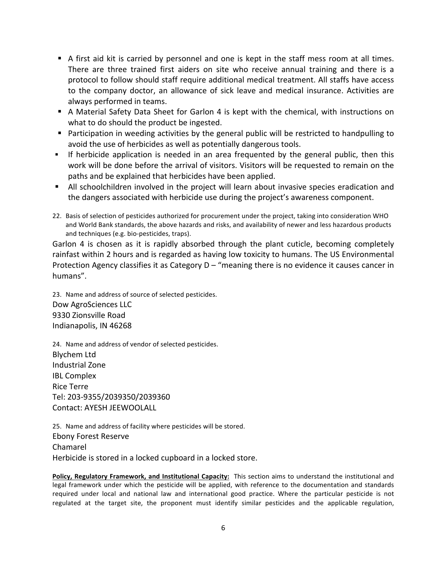- A first aid kit is carried by personnel and one is kept in the staff mess room at all times. There are three trained first aiders on site who receive annual training and there is a protocol to follow should staff require additional medical treatment. All staffs have access to the company doctor, an allowance of sick leave and medical insurance. Activities are always performed in teams.
- A Material Safety Data Sheet for Garlon 4 is kept with the chemical, with instructions on what to do should the product be ingested.
- Participation in weeding activities by the general public will be restricted to handpulling to avoid the use of herbicides as well as potentially dangerous tools.
- If herbicide application is needed in an area frequented by the general public, then this work will be done before the arrival of visitors. Visitors will be requested to remain on the paths and be explained that herbicides have been applied.
- **•** All schoolchildren involved in the project will learn about invasive species eradication and the dangers associated with herbicide use during the project's awareness component.
- 22. Basis of selection of pesticides authorized for procurement under the project, taking into consideration WHO and World Bank standards, the above hazards and risks, and availability of newer and less hazardous products and techniques (e.g. bio-pesticides, traps).

Garlon 4 is chosen as it is rapidly absorbed through the plant cuticle, becoming completely rainfast within 2 hours and is regarded as having low toxicity to humans. The US Environmental Protection Agency classifies it as Category  $D -$  "meaning there is no evidence it causes cancer in humans".

23. Name and address of source of selected pesticides. Dow AgroSciences LLC 9330 Zionsville Road Indianapolis, IN 46268

24. Name and address of vendor of selected pesticides. Blychem Ltd Industrial Zone **IBL Complex** Rice Terre Tel: 203-9355/2039350/2039360 Contact: AYESH JEEWOOLALL

25. Name and address of facility where pesticides will be stored. Ebony Forest Reserve Chamarel Herbicide is stored in a locked cupboard in a locked store.

Policy, Regulatory Framework, and Institutional Capacity: This section aims to understand the institutional and legal framework under which the pesticide will be applied, with reference to the documentation and standards required under local and national law and international good practice. Where the particular pesticide is not regulated at the target site, the proponent must identify similar pesticides and the applicable regulation,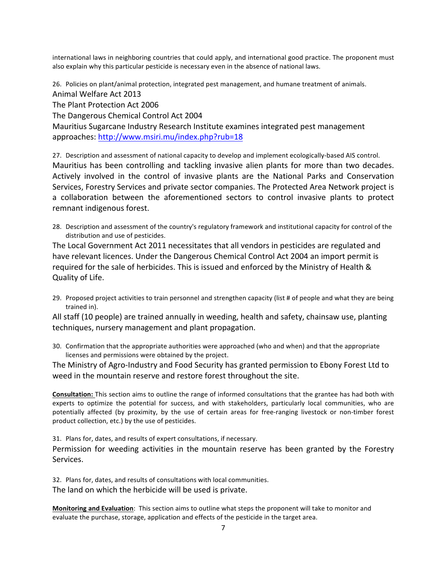international laws in neighboring countries that could apply, and international good practice. The proponent must also explain why this particular pesticide is necessary even in the absence of national laws.

26. Policies on plant/animal protection, integrated pest management, and humane treatment of animals. Animal Welfare Act 2013 The Plant Protection Act 2006 The Dangerous Chemical Control Act 2004 Mauritius Sugarcane Industry Research Institute examines integrated pest management approaches: http://www.msiri.mu/index.php?rub=18

27. Description and assessment of national capacity to develop and implement ecologically-based AIS control. Mauritius has been controlling and tackling invasive alien plants for more than two decades. Actively involved in the control of invasive plants are the National Parks and Conservation Services, Forestry Services and private sector companies. The Protected Area Network project is a collaboration between the aforementioned sectors to control invasive plants to protect remnant indigenous forest.

28. Description and assessment of the country's regulatory framework and institutional capacity for control of the distribution and use of pesticides.

The Local Government Act 2011 necessitates that all vendors in pesticides are regulated and have relevant licences. Under the Dangerous Chemical Control Act 2004 an import permit is required for the sale of herbicides. This is issued and enforced by the Ministry of Health & Quality of Life.

29. Proposed project activities to train personnel and strengthen capacity (list # of people and what they are being trained in).

All staff (10 people) are trained annually in weeding, health and safety, chainsaw use, planting techniques, nursery management and plant propagation.

30. Confirmation that the appropriate authorities were approached (who and when) and that the appropriate licenses and permissions were obtained by the project.

The Ministry of Agro-Industry and Food Security has granted permission to Ebony Forest Ltd to weed in the mountain reserve and restore forest throughout the site.

**Consultation:** This section aims to outline the range of informed consultations that the grantee has had both with experts to optimize the potential for success, and with stakeholders, particularly local communities, who are potentially affected (by proximity, by the use of certain areas for free-ranging livestock or non-timber forest product collection, etc.) by the use of pesticides.

31. Plans for, dates, and results of expert consultations, if necessary.

Permission for weeding activities in the mountain reserve has been granted by the Forestry Services.

32. Plans for, dates, and results of consultations with local communities. The land on which the herbicide will be used is private.

**Monitoring and Evaluation**: This section aims to outline what steps the proponent will take to monitor and evaluate the purchase, storage, application and effects of the pesticide in the target area.